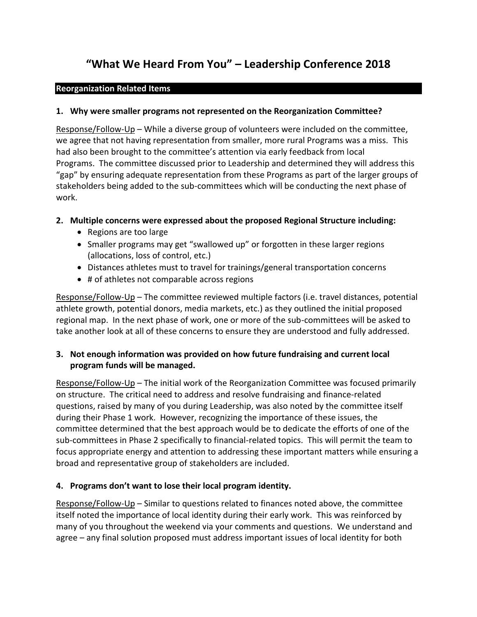# **"What We Heard From You" – Leadership Conference 2018**

#### **Reorganization Related Items**

## **1. Why were smaller programs not represented on the Reorganization Committee?**

Response/Follow-Up – While a diverse group of volunteers were included on the committee, we agree that not having representation from smaller, more rural Programs was a miss. This had also been brought to the committee's attention via early feedback from local Programs. The committee discussed prior to Leadership and determined they will address this "gap" by ensuring adequate representation from these Programs as part of the larger groups of stakeholders being added to the sub-committees which will be conducting the next phase of work.

## **2. Multiple concerns were expressed about the proposed Regional Structure including:**

- Regions are too large
- Smaller programs may get "swallowed up" or forgotten in these larger regions (allocations, loss of control, etc.)
- Distances athletes must to travel for trainings/general transportation concerns
- # of athletes not comparable across regions

Response/Follow-Up – The committee reviewed multiple factors (i.e. travel distances, potential athlete growth, potential donors, media markets, etc.) as they outlined the initial proposed regional map. In the next phase of work, one or more of the sub-committees will be asked to take another look at all of these concerns to ensure they are understood and fully addressed.

# **3. Not enough information was provided on how future fundraising and current local program funds will be managed.**

Response/Follow-Up – The initial work of the Reorganization Committee was focused primarily on structure. The critical need to address and resolve fundraising and finance-related questions, raised by many of you during Leadership, was also noted by the committee itself during their Phase 1 work. However, recognizing the importance of these issues, the committee determined that the best approach would be to dedicate the efforts of one of the sub-committees in Phase 2 specifically to financial-related topics. This will permit the team to focus appropriate energy and attention to addressing these important matters while ensuring a broad and representative group of stakeholders are included.

# **4. Programs don't want to lose their local program identity.**

Response/Follow-Up – Similar to questions related to finances noted above, the committee itself noted the importance of local identity during their early work. This was reinforced by many of you throughout the weekend via your comments and questions. We understand and agree – any final solution proposed must address important issues of local identity for both